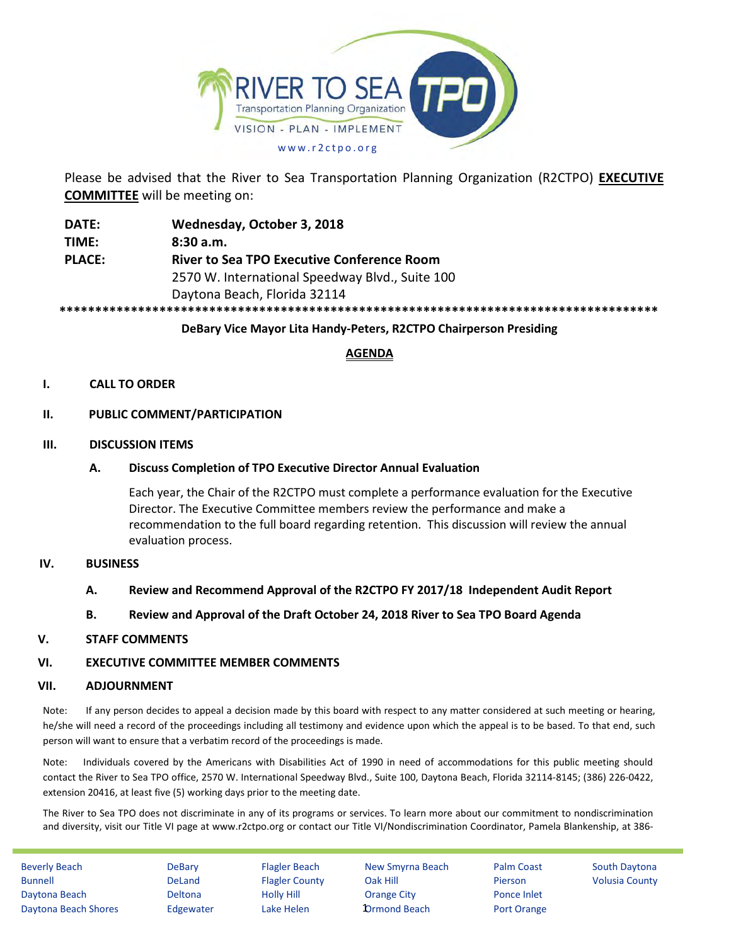

Please be advised that the River to Sea Transportation Planning Organization (R2CTPO) **EXECUTIVE COMMITTEE** will be meeting on:

**DATE: Wednesday, October 3, 2018 TIME: 8:30 a.m. PLACE: River to Sea TPO Executive Conference Room** 2570 W. International Speedway Blvd., Suite 100 Daytona Beach, Florida 32114 **\*\*\*\*\*\*\*\*\*\*\*\*\*\*\*\*\*\*\*\*\*\*\*\*\*\*\*\*\*\*\*\*\*\*\*\*\*\*\*\*\*\*\*\*\*\*\*\*\*\*\*\*\*\*\*\*\*\*\*\*\*\*\*\*\*\*\*\*\*\*\*\*\*\*\*\*\*\*\*\*\*\*\*\***

### **DeBary Vice Mayor Lita Handy-Peters, R2CTPO Chairperson Presiding**

# **AGENDA**

### **I. CALL TO ORDER**

### **II. PUBLIC COMMENT/PARTICIPATION**

#### **III. DISCUSSION ITEMS**

### **A. Discuss Completion of TPO Executive Director Annual Evaluation**

Each year, the Chair of the R2CTPO must complete a performance evaluation for the Executive Director. The Executive Committee members review the performance and make a recommendation to the full board regarding retention. This discussion will review the annual evaluation process.

#### **IV. BUSINESS**

#### **A. Review and Recommend Approval of the R2CTPO FY 2017/18 Independent Audit Report**

#### **B. Review and Approval of the Draft October 24, 2018 River to Sea TPO Board Agenda**

#### **V. STAFF COMMENTS**

#### **VI. EXECUTIVE COMMITTEE MEMBER COMMENTS**

#### **VII. ADJOURNMENT**

Note: If any person decides to appeal a decision made by this board with respect to any matter considered at such meeting or hearing, he/she will need a record of the proceedings including all testimony and evidence upon which the appeal is to be based. To that end, such person will want to ensure that a verbatim record of the proceedings is made.

Note: Individuals covered by the Americans with Disabilities Act of 1990 in need of accommodations for this public meeting should contact the River to Sea TPO office, 2570 W. International Speedway Blvd., Suite 100, Daytona Beach, Florida 32114-8145; (386) 226-0422, extension 20416, at least five (5) working days prior to the meeting date.

The River to Sea TPO does not discriminate in any of its programs or services. To learn more about our commitment to nondiscrimination and diversity, visit our Title VI page at www.r2ctpo.org or contact our Title VI/Nondiscrimination Coordinator, Pamela Blankenship, at 386-

Beverly Beach **DeBary** Flagler Beach New Smyrna Beach Palm Coast South Daytona Bunnell **DeLand** Flagler County Oak Hill Pierson Volusia County Daytona Beach Deltona Holly Hill Orange City Ponce Inlet Daytona Beach Shores Edgewater Lake Helen **D**rmond Beach Port Orange

**1**Drmond Beach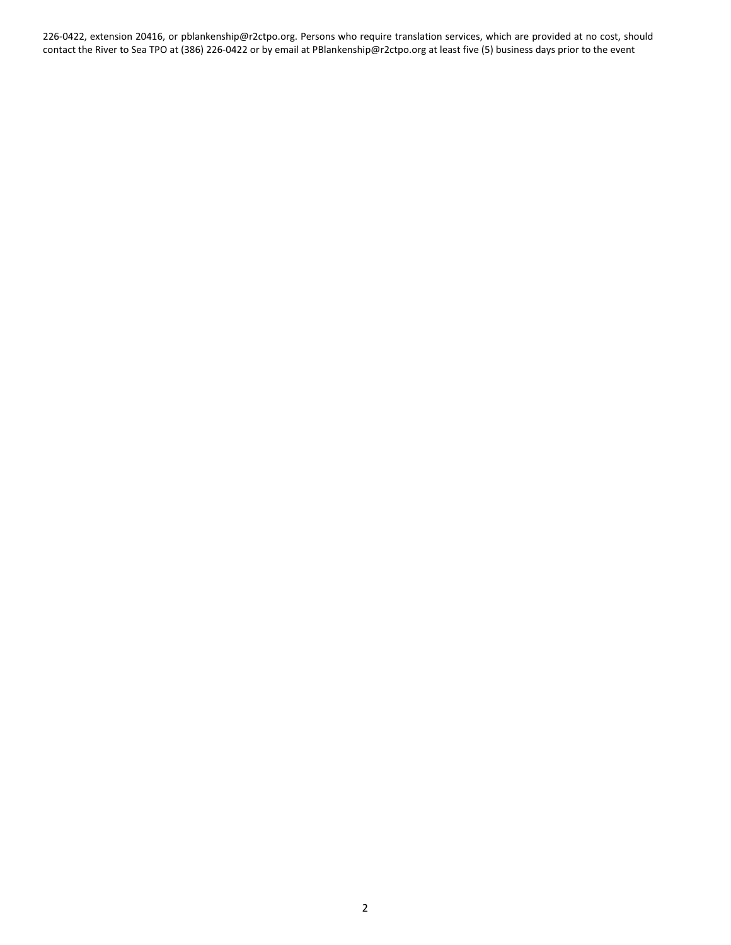226-0422, extension 20416, or pblankenship@r2ctpo.org. Persons who require translation services, which are provided at no cost, should contact the River to Sea TPO at (386) 226-0422 or by email at PBlankenship@r2ctpo.org at least five (5) business days prior to the event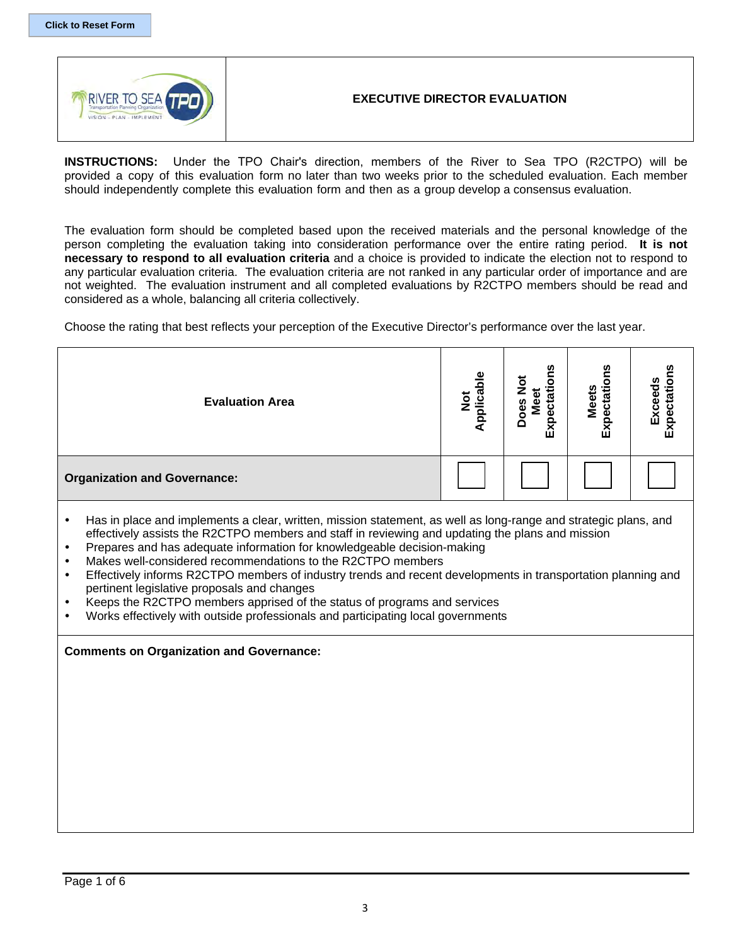

# **EXECUTIVE DIRECTOR EVALUATION**

**INSTRUCTIONS:** Under the TPO Chair's direction, members of the River to Sea TPO (R2CTPO) will be provided a copy of this evaluation form no later than two weeks prior to the scheduled evaluation. Each member should independently complete this evaluation form and then as a group develop a consensus evaluation.

The evaluation form should be completed based upon the received materials and the personal knowledge of the person completing the evaluation taking into consideration performance over the entire rating period. **It is not necessary to respond to all evaluation criteria** and a choice is provided to indicate the election not to respond to any particular evaluation criteria. The evaluation criteria are not ranked in any particular order of importance and are not weighted. The evaluation instrument and all completed evaluations by R2CTPO members should be read and considered as a whole, balancing all criteria collectively.

Choose the rating that best reflects your perception of the Executive Director's performance over the last year.

| <b>Evaluation Area</b>                                                                                                                                                                                                                                                                                                                                                                                                                                                                                                       | Not<br>pplicabl | <b>ons</b> | Expectations<br><b>Meets</b> | Expectations<br>Exceeds |  |  |  |  |  |
|------------------------------------------------------------------------------------------------------------------------------------------------------------------------------------------------------------------------------------------------------------------------------------------------------------------------------------------------------------------------------------------------------------------------------------------------------------------------------------------------------------------------------|-----------------|------------|------------------------------|-------------------------|--|--|--|--|--|
| <b>Organization and Governance:</b>                                                                                                                                                                                                                                                                                                                                                                                                                                                                                          |                 |            |                              |                         |  |  |  |  |  |
| Has in place and implements a clear, written, mission statement, as well as long-range and strategic plans, and<br>effectively assists the R2CTPO members and staff in reviewing and updating the plans and mission<br>Prepares and has adequate information for knowledgeable decision-making<br>Makes well-considered recommendations to the R2CTPO members<br>Effectively informs R2CTPO members of industry trends and recent developments in transportation planning and<br>pertinent legislative proposals and changes |                 |            |                              |                         |  |  |  |  |  |

- Keeps the R2CTPO members apprised of the status of programs and services
- Works effectively with outside professionals and participating local governments

#### **Comments on Organization and Governance:**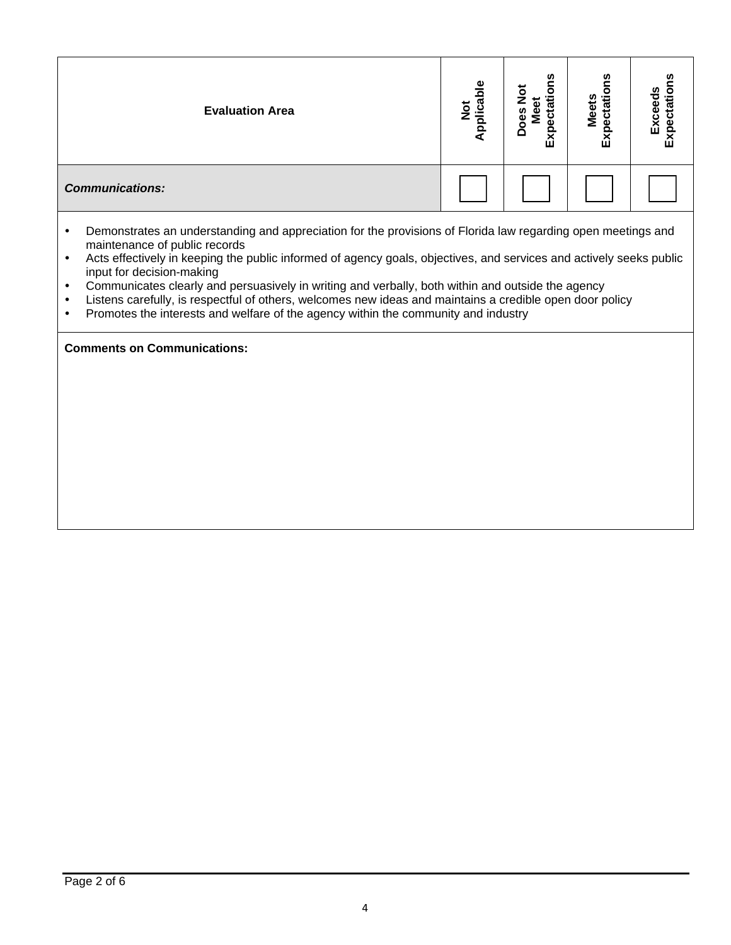| <b>Evaluation Area</b> | $\frac{e}{\Omega}$<br>lica<br>ಕ<br>$\overline{A}$ | ectations<br>$\frac{5}{2}$<br>ಕ<br>Does<br>≗<br>Exp | ဥ္<br>ectatio<br><b>Meets</b><br>û | n<br>О<br>π<br>ω<br>ш<br>ш |
|------------------------|---------------------------------------------------|-----------------------------------------------------|------------------------------------|----------------------------|
| <b>Communications:</b> |                                                   |                                                     |                                    |                            |

- Demonstrates an understanding and appreciation for the provisions of Florida law regarding open meetings and maintenance of public records
- Acts effectively in keeping the public informed of agency goals, objectives, and services and actively seeks public input for decision-making
- Communicates clearly and persuasively in writing and verbally, both within and outside the agency
- Listens carefully, is respectful of others, welcomes new ideas and maintains a credible open door policy
- Promotes the interests and welfare of the agency within the community and industry

**Comments on Communications:**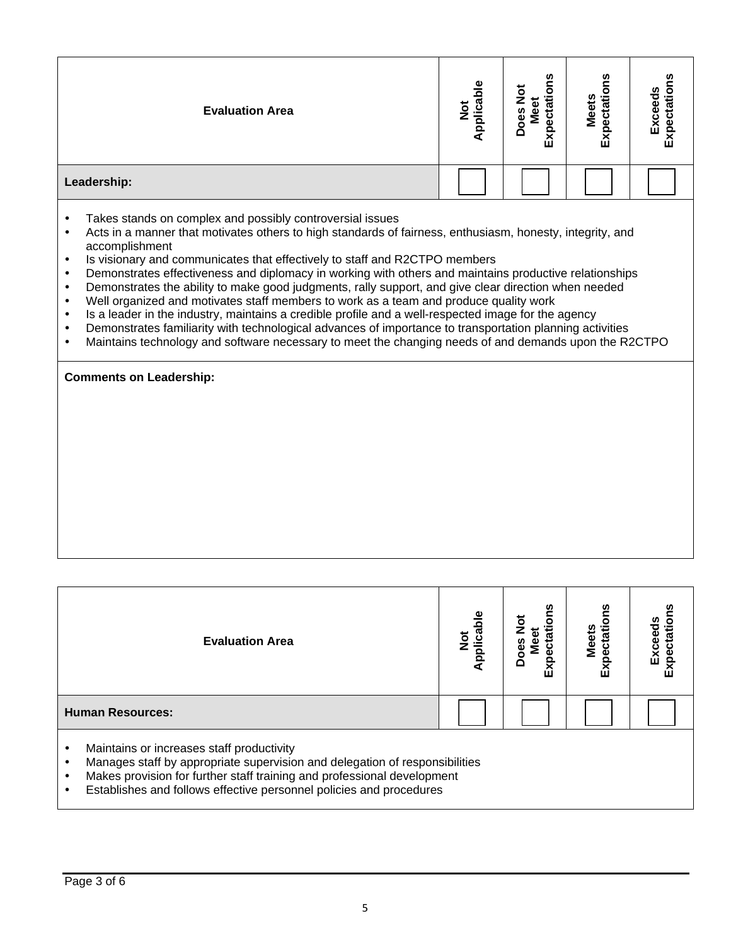| <b>Evaluation Area</b>                                                                                                                                                                                                                                                                                                                                                                                                                                                                                                                                                                                                                                                                                                                                                                                                                                                                                       | Applicable<br>$\frac{5}{2}$ | <b>ons</b><br>Meet<br>oes<br>区 | Expectatio<br><b>Meets</b> | Expectation<br>Exceeds |  |  |  |  |  |
|--------------------------------------------------------------------------------------------------------------------------------------------------------------------------------------------------------------------------------------------------------------------------------------------------------------------------------------------------------------------------------------------------------------------------------------------------------------------------------------------------------------------------------------------------------------------------------------------------------------------------------------------------------------------------------------------------------------------------------------------------------------------------------------------------------------------------------------------------------------------------------------------------------------|-----------------------------|--------------------------------|----------------------------|------------------------|--|--|--|--|--|
| Leadership:                                                                                                                                                                                                                                                                                                                                                                                                                                                                                                                                                                                                                                                                                                                                                                                                                                                                                                  |                             |                                |                            |                        |  |  |  |  |  |
| Takes stands on complex and possibly controversial issues<br>$\bullet$<br>Acts in a manner that motivates others to high standards of fairness, enthusiasm, honesty, integrity, and<br>$\bullet$<br>accomplishment<br>Is visionary and communicates that effectively to staff and R2CTPO members<br>$\bullet$<br>Demonstrates effectiveness and diplomacy in working with others and maintains productive relationships<br>$\bullet$<br>Demonstrates the ability to make good judgments, rally support, and give clear direction when needed<br>$\bullet$<br>Well organized and motivates staff members to work as a team and produce quality work<br>$\bullet$<br>Is a leader in the industry, maintains a credible profile and a well-respected image for the agency<br>$\bullet$<br>Demonstrates familiarity with technological advances of importance to transportation planning activities<br>$\bullet$ |                             |                                |                            |                        |  |  |  |  |  |

Maintains technology and software necessary to meet the changing needs of and demands upon the R2CTPO

### **Comments on Leadership:**

| <b>Evaluation Area</b>                         | $\overline{\bullet}$<br>Not<br>plica | ဥ<br>ō<br>iati.<br>Ō<br>区 | n<br><b>Meets</b><br>ctati<br>ğ<br>Εx | n<br>٥<br>Φ<br>ceed<br>w<br>Ă<br>Φ<br>Exp |
|------------------------------------------------|--------------------------------------|---------------------------|---------------------------------------|-------------------------------------------|
| <b>Human Resources:</b>                        |                                      |                           |                                       |                                           |
| Maintains or increases staff productivity<br>٠ |                                      |                           |                                       |                                           |

- Manages staff by appropriate supervision and delegation of responsibilities
- Makes provision for further staff training and professional development<br>• Establishes and follows effective personnel policies and procedures
- Establishes and follows effective personnel policies and procedures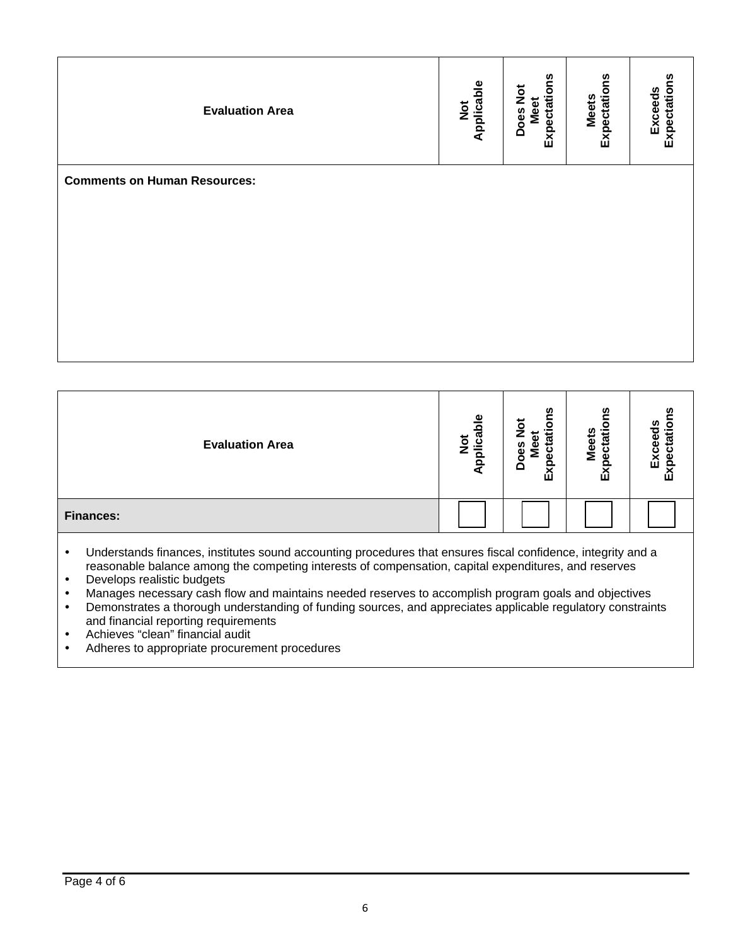| <b>Evaluation Area</b>              | Not<br>Applicable | Expectations<br>Does Not<br>Meet | Expectations<br><b>Meets</b> | Expectations<br><b>Exceeds</b> |
|-------------------------------------|-------------------|----------------------------------|------------------------------|--------------------------------|
| <b>Comments on Human Resources:</b> |                   |                                  |                              |                                |
|                                     |                   |                                  |                              |                                |
|                                     |                   |                                  |                              |                                |
|                                     |                   |                                  |                              |                                |
|                                     |                   |                                  |                              |                                |
|                                     |                   |                                  |                              |                                |

| <b>Evaluation Area</b> | $\underline{\mathbf{o}}$<br>plica<br>$\bar{\mathsf{S}}$ | ഗ<br>δ<br>ಕ<br>᠊ᢛ<br><b>ces</b><br>ω<br>Σ<br>ω<br>Ă<br>Εx | n<br><b>Meets</b><br>$\overline{3}$<br>ъ<br>Ō<br>மி | ш<br>ш |
|------------------------|---------------------------------------------------------|-----------------------------------------------------------|-----------------------------------------------------|--------|
| <b>Finances:</b>       |                                                         |                                                           |                                                     |        |

 Understands finances, institutes sound accounting procedures that ensures fiscal confidence, integrity and a reasonable balance among the competing interests of compensation, capital expenditures, and reserves

- Develops realistic budgets
- Manages necessary cash flow and maintains needed reserves to accomplish program goals and objectives<br>• Demonstrates a thorough understanding of funding sources, and appreciates applicable regulatory constrain
- Demonstrates a thorough understanding of funding sources, and appreciates applicable regulatory constraints and financial reporting requirements
- Achieves "clean" financial audit
- Adheres to appropriate procurement procedures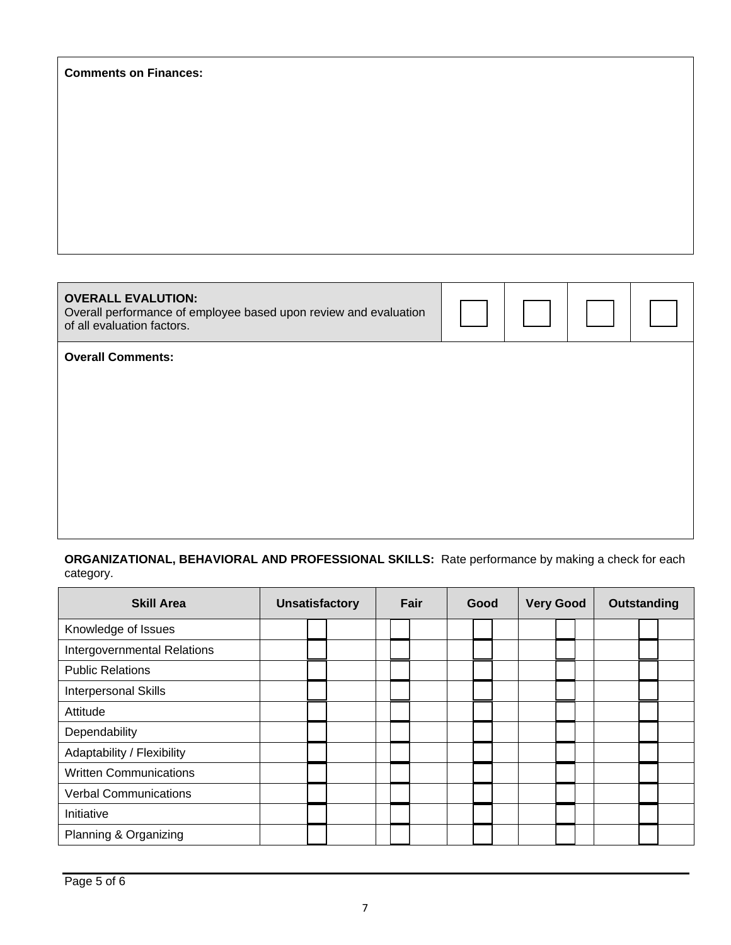| <b>Comments on Finances:</b>                                                                                                |  |  |
|-----------------------------------------------------------------------------------------------------------------------------|--|--|
|                                                                                                                             |  |  |
|                                                                                                                             |  |  |
|                                                                                                                             |  |  |
|                                                                                                                             |  |  |
|                                                                                                                             |  |  |
| <b>OVERALL EVALUTION:</b><br>Overall performance of employee based upon review and evaluation<br>of all evaluation factors. |  |  |
| <b>Overall Comments:</b>                                                                                                    |  |  |
|                                                                                                                             |  |  |
|                                                                                                                             |  |  |

**ORGANIZATIONAL, BEHAVIORAL AND PROFESSIONAL SKILLS:** Rate performance by making a check for each category.

| <b>Skill Area</b>             | <b>Unsatisfactory</b> | Fair | Good | <b>Very Good</b> | Outstanding |
|-------------------------------|-----------------------|------|------|------------------|-------------|
| Knowledge of Issues           |                       |      |      |                  |             |
| Intergovernmental Relations   |                       |      |      |                  |             |
| <b>Public Relations</b>       |                       |      |      |                  |             |
| Interpersonal Skills          |                       |      |      |                  |             |
| Attitude                      |                       |      |      |                  |             |
| Dependability                 |                       |      |      |                  |             |
| Adaptability / Flexibility    |                       |      |      |                  |             |
| <b>Written Communications</b> |                       |      |      |                  |             |
| <b>Verbal Communications</b>  |                       |      |      |                  |             |
| Initiative                    |                       |      |      |                  |             |
| Planning & Organizing         |                       |      |      |                  |             |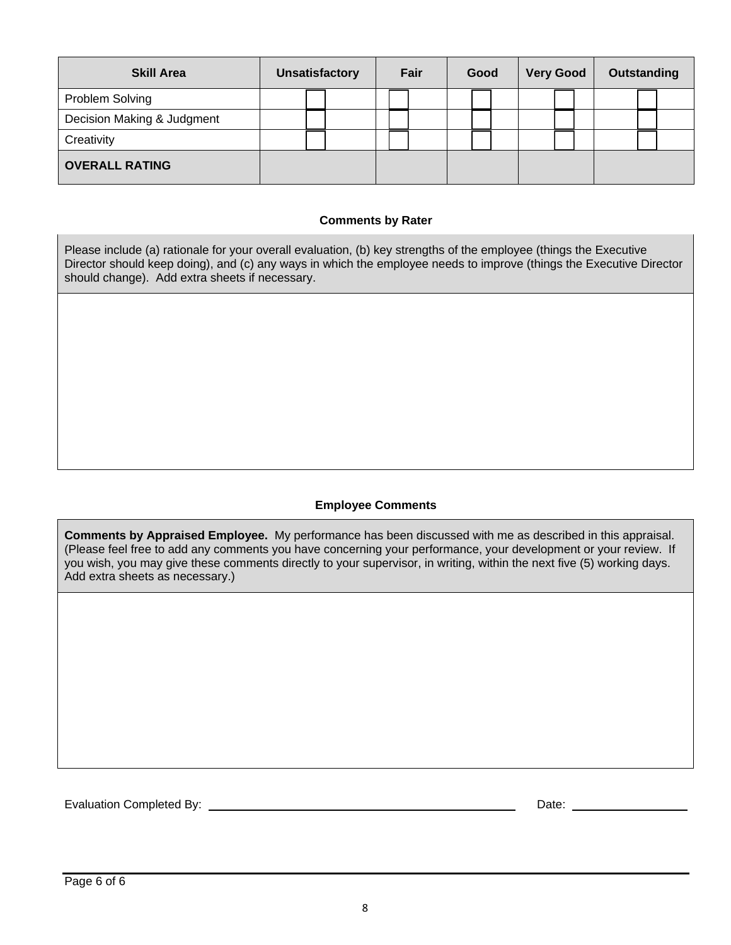| <b>Skill Area</b>          | <b>Unsatisfactory</b> | Fair |  |  |  |  |  |  |  |  |  |  |  |  |  |  |  |  |  |  |  |  |  | Good |  |  |  |  |  |  |  |  |  |  |  |  |  | <b>Very Good</b> |  | Outstanding |  |
|----------------------------|-----------------------|------|--|--|--|--|--|--|--|--|--|--|--|--|--|--|--|--|--|--|--|--|--|------|--|--|--|--|--|--|--|--|--|--|--|--|--|------------------|--|-------------|--|
| Problem Solving            |                       |      |  |  |  |  |  |  |  |  |  |  |  |  |  |  |  |  |  |  |  |  |  |      |  |  |  |  |  |  |  |  |  |  |  |  |  |                  |  |             |  |
| Decision Making & Judgment |                       |      |  |  |  |  |  |  |  |  |  |  |  |  |  |  |  |  |  |  |  |  |  |      |  |  |  |  |  |  |  |  |  |  |  |  |  |                  |  |             |  |
| Creativity                 |                       |      |  |  |  |  |  |  |  |  |  |  |  |  |  |  |  |  |  |  |  |  |  |      |  |  |  |  |  |  |  |  |  |  |  |  |  |                  |  |             |  |
| <b>OVERALL RATING</b>      |                       |      |  |  |  |  |  |  |  |  |  |  |  |  |  |  |  |  |  |  |  |  |  |      |  |  |  |  |  |  |  |  |  |  |  |  |  |                  |  |             |  |

## **Comments by Rater**

Please include (a) rationale for your overall evaluation, (b) key strengths of the employee (things the Executive Director should keep doing), and (c) any ways in which the employee needs to improve (things the Executive Director should change). Add extra sheets if necessary.

# **Employee Comments**

**Comments by Appraised Employee.** My performance has been discussed with me as described in this appraisal. (Please feel free to add any comments you have concerning your performance, your development or your review. If you wish, you may give these comments directly to your supervisor, in writing, within the next five (5) working days. Add extra sheets as necessary.)

Evaluation Completed By: Date: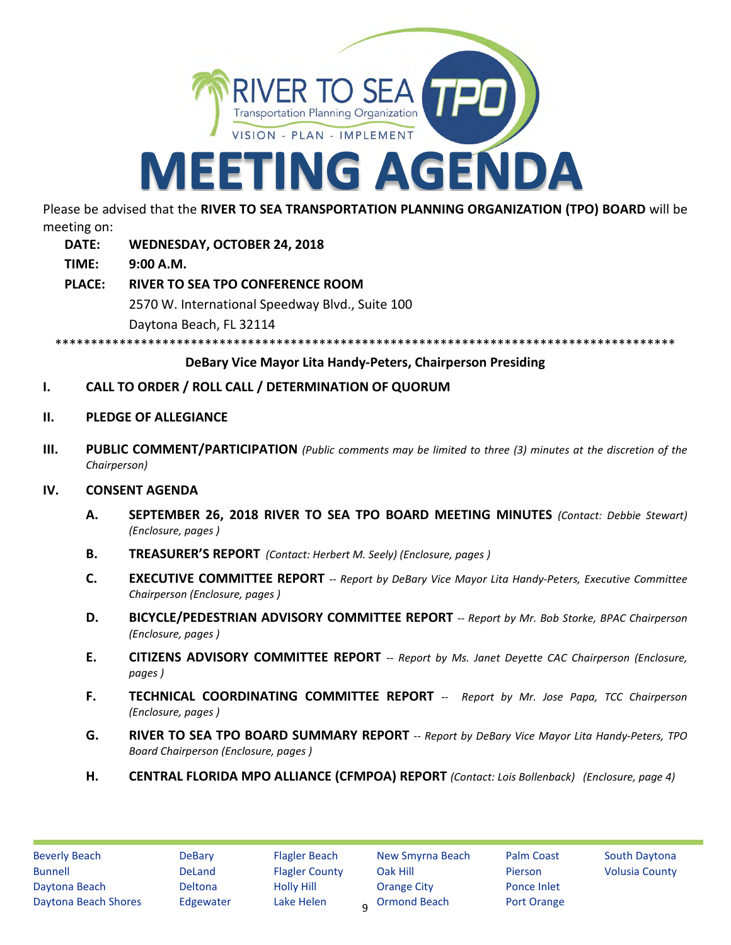

Please be advised that the **RIVER TO SEA TRANSPORTATION PLANNING ORGANIZATION (TPO) BOARD** will be meeting on:

- **DATE: WEDNESDAY, OCTOBER 24, 2018**
- **TIME: 9:00 A.M.**
- **PLACE: RIVER TO SEA TPO CONFERENCE ROOM** 2570 W. International Speedway Blvd., Suite 100 Daytona Beach, FL 32114

\*\*\*\*\*\*\*\*\*\*\*\*\*\*\*\*\*\*\*\*\*\*\*\*\*\*\*\*\*\*\*

# **DeBary Vice Mayor Lita Handy-Peters, Chairperson Presiding**

- **I. CALL TO ORDER / ROLL CALL / DETERMINATION OF QUORUM**
- **II. PLEDGE OF ALLEGIANCE**
- **III. PUBLIC COMMENT/PARTICIPATION** *(Public comments may be limited to three (3) minutes at the discretion of the Chairperson)*

# **IV. CONSENT AGENDA**

- **A. SEPTEMBER 26, 2018 RIVER TO SEA TPO BOARD MEETING MINUTES** *(Contact: Debbie Stewart) (Enclosure, pages )*
- **B. TREASURER'S REPORT** *(Contact: Herbert M. Seely) (Enclosure, pages )*
- **C. EXECUTIVE COMMITTEE REPORT** *-- Report by DeBary Vice Mayor Lita Handy-Peters, Executive Committee Chairperson (Enclosure, pages )*
- **D. BICYCLE/PEDESTRIAN ADVISORY COMMITTEE REPORT** *-- Report by Mr. Bob Storke, BPAC Chairperson (Enclosure, pages )*
- **E. CITIZENS ADVISORY COMMITTEE REPORT** *-- Report by Ms. Janet Deyette CAC Chairperson (Enclosure, pages )*
- **F. TECHNICAL COORDINATING COMMITTEE REPORT** *-- Report by Mr. Jose Papa, TCC Chairperson (Enclosure, pages )*
- **G. RIVER TO SEA TPO BOARD SUMMARY REPORT** *-- Report by DeBary Vice Mayor Lita Handy-Peters, TPO Board Chairperson (Enclosure, pages )*
- **H. CENTRAL FLORIDA MPO ALLIANCE (CFMPOA) REPORT** *(Contact: Lois Bollenback) (Enclosure, page 4)*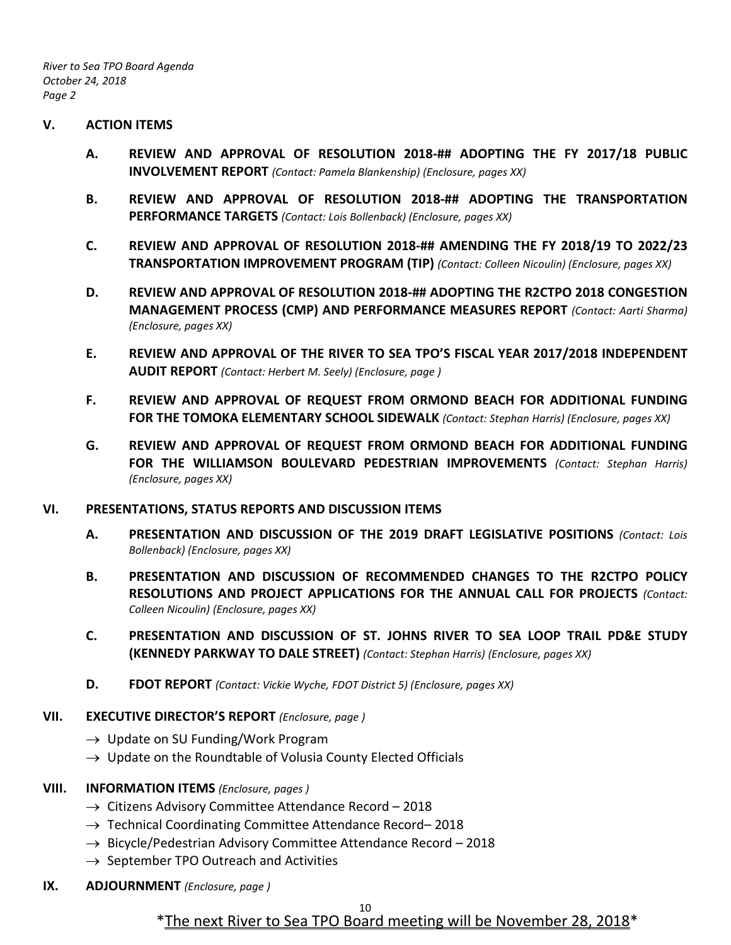*River to Sea TPO Board Agenda October 24, 2018 Page 2*

### **V. ACTION ITEMS**

- **A. REVIEW AND APPROVAL OF RESOLUTION 2018-## ADOPTING THE FY 2017/18 PUBLIC INVOLVEMENT REPORT** *(Contact: Pamela Blankenship) (Enclosure, pages XX)*
- **B. REVIEW AND APPROVAL OF RESOLUTION 2018-## ADOPTING THE TRANSPORTATION PERFORMANCE TARGETS** *(Contact: Lois Bollenback) (Enclosure, pages XX)*
- **C. REVIEW AND APPROVAL OF RESOLUTION 2018-## AMENDING THE FY 2018/19 TO 2022/23 TRANSPORTATION IMPROVEMENT PROGRAM (TIP)** *(Contact: Colleen Nicoulin) (Enclosure, pages XX)*
- **D. REVIEW AND APPROVAL OF RESOLUTION 2018-## ADOPTING THE R2CTPO 2018 CONGESTION MANAGEMENT PROCESS (CMP) AND PERFORMANCE MEASURES REPORT** *(Contact: Aarti Sharma) (Enclosure, pages XX)*
- **E. REVIEW AND APPROVAL OF THE RIVER TO SEA TPO'S FISCAL YEAR 2017/2018 INDEPENDENT AUDIT REPORT** *(Contact: Herbert M. Seely) (Enclosure, page )*
- **F. REVIEW AND APPROVAL OF REQUEST FROM ORMOND BEACH FOR ADDITIONAL FUNDING FOR THE TOMOKA ELEMENTARY SCHOOL SIDEWALK** *(Contact: Stephan Harris) (Enclosure, pages XX)*
- **G. REVIEW AND APPROVAL OF REQUEST FROM ORMOND BEACH FOR ADDITIONAL FUNDING FOR THE WILLIAMSON BOULEVARD PEDESTRIAN IMPROVEMENTS** *(Contact: Stephan Harris) (Enclosure, pages XX)*

### **VI. PRESENTATIONS, STATUS REPORTS AND DISCUSSION ITEMS**

- **A. PRESENTATION AND DISCUSSION OF THE 2019 DRAFT LEGISLATIVE POSITIONS** *(Contact: Lois Bollenback) (Enclosure, pages XX)*
- **B. PRESENTATION AND DISCUSSION OF RECOMMENDED CHANGES TO THE R2CTPO POLICY RESOLUTIONS AND PROJECT APPLICATIONS FOR THE ANNUAL CALL FOR PROJECTS** *(Contact: Colleen Nicoulin) (Enclosure, pages XX)*
- **C. PRESENTATION AND DISCUSSION OF ST. JOHNS RIVER TO SEA LOOP TRAIL PD&E STUDY (KENNEDY PARKWAY TO DALE STREET)** *(Contact: Stephan Harris) (Enclosure, pages XX)*
- **D. FDOT REPORT** *(Contact: Vickie Wyche, FDOT District 5) (Enclosure, pages XX)*

## **VII. EXECUTIVE DIRECTOR'S REPORT** *(Enclosure, page )*

- $\rightarrow$  Update on SU Funding/Work Program
- $\rightarrow$  Update on the Roundtable of Volusia County Elected Officials

## **VIII. INFORMATION ITEMS** *(Enclosure, pages )*

- $\rightarrow$  Citizens Advisory Committee Attendance Record 2018
- $\rightarrow$  Technical Coordinating Committee Attendance Record–2018
- $\rightarrow$  Bicycle/Pedestrian Advisory Committee Attendance Record 2018
- $\rightarrow$  September TPO Outreach and Activities
- **IX. ADJOURNMENT** *(Enclosure, page )*

# \*The next River to Sea TPO Board meeting will be November 28, 2018\*